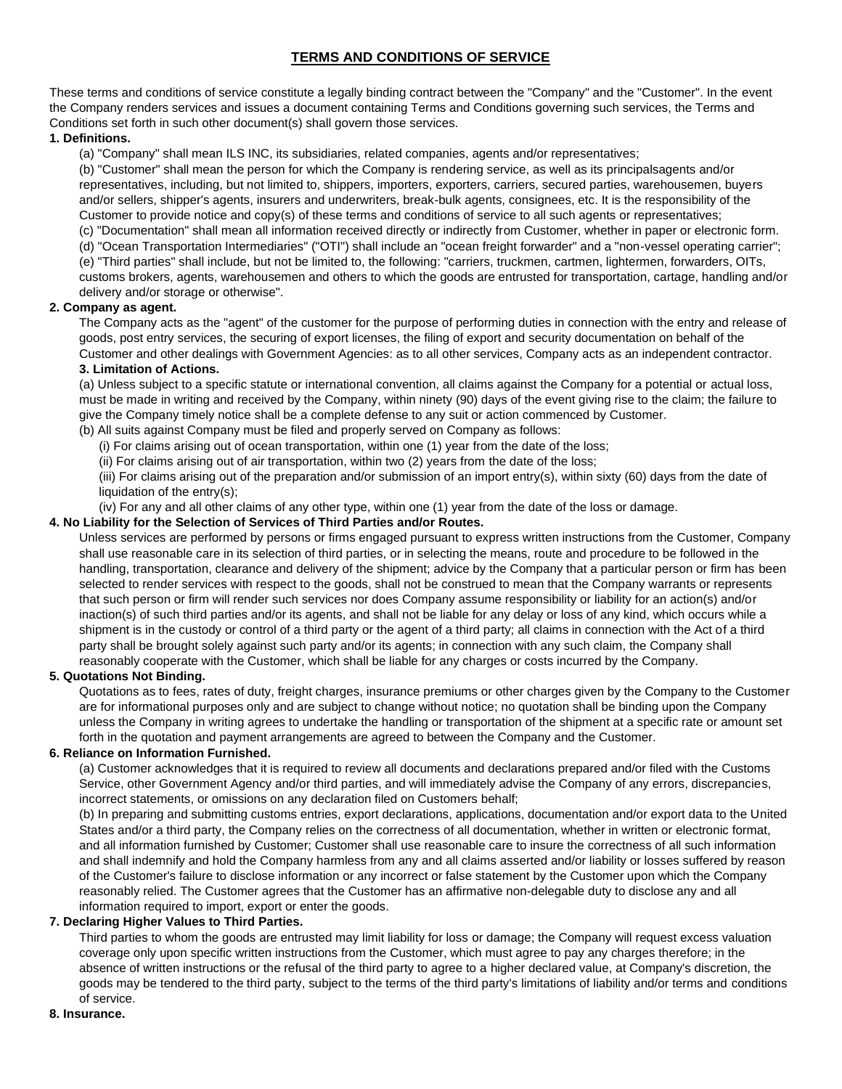# **TERMS AND CONDITIONS OF SERVICE**

These terms and conditions of service constitute a legally binding contract between the "Company" and the "Customer". In the event the Company renders services and issues a document containing Terms and Conditions governing such services, the Terms and Conditions set forth in such other document(s) shall govern those services.

# **1. Definitions.**

(a) "Company" shall mean ILS INC, its subsidiaries, related companies, agents and/or representatives;

(b) "Customer" shall mean the person for which the Company is rendering service, as well as its principalsagents and/or representatives, including, but not limited to, shippers, importers, exporters, carriers, secured parties, warehousemen, buyers and/or sellers, shipper's agents, insurers and underwriters, break-bulk agents, consignees, etc. It is the responsibility of the Customer to provide notice and copy(s) of these terms and conditions of service to all such agents or representatives; (c) "Documentation" shall mean all information received directly or indirectly from Customer, whether in paper or electronic form.

(d) "Ocean Transportation Intermediaries" ("OTI") shall include an "ocean freight forwarder" and a "non-vessel operating carrier"; (e) "Third parties" shall include, but not be limited to, the following: "carriers, truckmen, cartmen, lightermen, forwarders, OITs, customs brokers, agents, warehousemen and others to which the goods are entrusted for transportation, cartage, handling and/or delivery and/or storage or otherwise".

# **2. Company as agent.**

The Company acts as the "agent" of the customer for the purpose of performing duties in connection with the entry and release of goods, post entry services, the securing of export licenses, the filing of export and security documentation on behalf of the Customer and other dealings with Government Agencies: as to all other services, Company acts as an independent contractor. **3. Limitation of Actions.** 

(a) Unless subject to a specific statute or international convention, all claims against the Company for a potential or actual loss, must be made in writing and received by the Company, within ninety (90) days of the event giving rise to the claim; the failure to give the Company timely notice shall be a complete defense to any suit or action commenced by Customer.

(b) All suits against Company must be filed and properly served on Company as follows:

(i) For claims arising out of ocean transportation, within one (1) year from the date of the loss;

(ii) For claims arising out of air transportation, within two (2) years from the date of the loss;

(iii) For claims arising out of the preparation and/or submission of an import entry(s), within sixty (60) days from the date of liquidation of the entry(s);

(iv) For any and all other claims of any other type, within one (1) year from the date of the loss or damage.

### **4. No Liability for the Selection of Services of Third Parties and/or Routes.**

Unless services are performed by persons or firms engaged pursuant to express written instructions from the Customer, Company shall use reasonable care in its selection of third parties, or in selecting the means, route and procedure to be followed in the handling, transportation, clearance and delivery of the shipment; advice by the Company that a particular person or firm has been selected to render services with respect to the goods, shall not be construed to mean that the Company warrants or represents that such person or firm will render such services nor does Company assume responsibility or liability for an action(s) and/or inaction(s) of such third parties and/or its agents, and shall not be liable for any delay or loss of any kind, which occurs while a shipment is in the custody or control of a third party or the agent of a third party; all claims in connection with the Act of a third party shall be brought solely against such party and/or its agents; in connection with any such claim, the Company shall reasonably cooperate with the Customer, which shall be liable for any charges or costs incurred by the Company.

### **5. Quotations Not Binding.**

Quotations as to fees, rates of duty, freight charges, insurance premiums or other charges given by the Company to the Customer are for informational purposes only and are subject to change without notice; no quotation shall be binding upon the Company unless the Company in writing agrees to undertake the handling or transportation of the shipment at a specific rate or amount set forth in the quotation and payment arrangements are agreed to between the Company and the Customer.

# **6. Reliance on Information Furnished.**

(a) Customer acknowledges that it is required to review all documents and declarations prepared and/or filed with the Customs Service, other Government Agency and/or third parties, and will immediately advise the Company of any errors, discrepancies, incorrect statements, or omissions on any declaration filed on Customers behalf;

(b) In preparing and submitting customs entries, export declarations, applications, documentation and/or export data to the United States and/or a third party, the Company relies on the correctness of all documentation, whether in written or electronic format, and all information furnished by Customer; Customer shall use reasonable care to insure the correctness of all such information and shall indemnify and hold the Company harmless from any and all claims asserted and/or liability or losses suffered by reason of the Customer's failure to disclose information or any incorrect or false statement by the Customer upon which the Company reasonably relied. The Customer agrees that the Customer has an affirmative non-delegable duty to disclose any and all information required to import, export or enter the goods.

### **7. Declaring Higher Values to Third Parties.**

Third parties to whom the goods are entrusted may limit liability for loss or damage; the Company will request excess valuation coverage only upon specific written instructions from the Customer, which must agree to pay any charges therefore; in the absence of written instructions or the refusal of the third party to agree to a higher declared value, at Company's discretion, the goods may be tendered to the third party, subject to the terms of the third party's limitations of liability and/or terms and conditions of service.

### **8. Insurance.**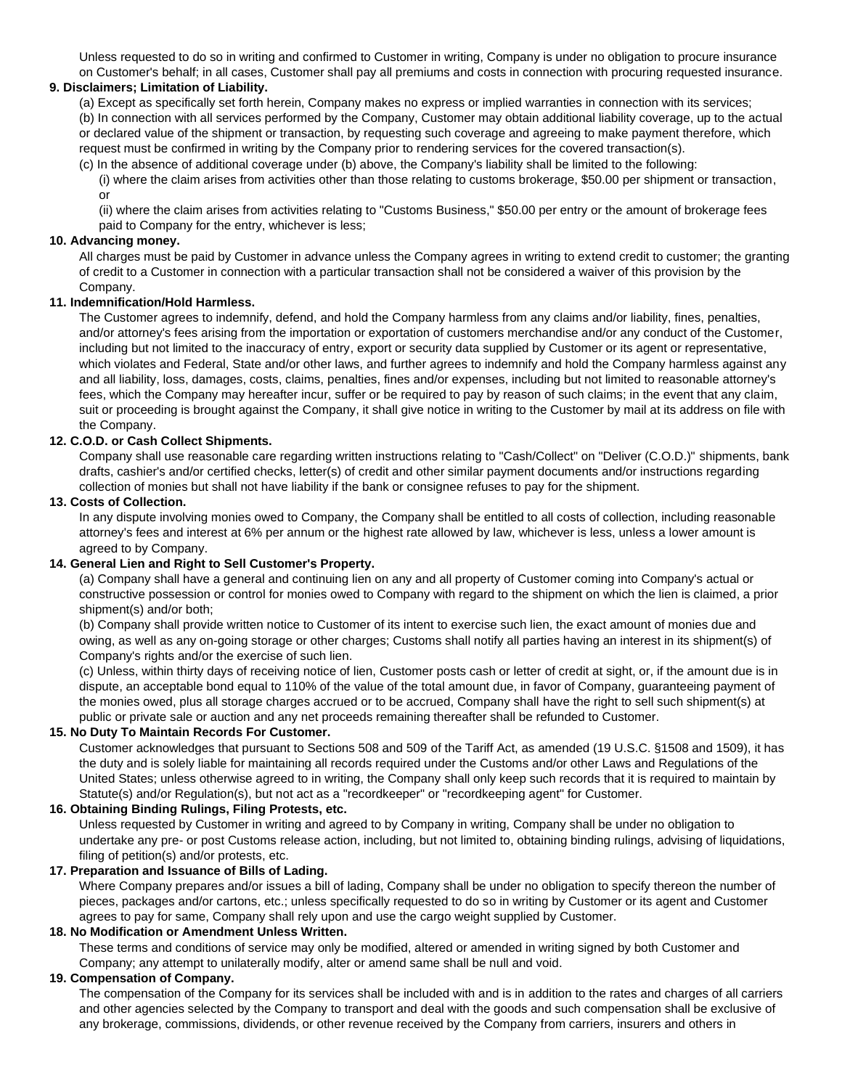Unless requested to do so in writing and confirmed to Customer in writing, Company is under no obligation to procure insurance on Customer's behalf; in all cases, Customer shall pay all premiums and costs in connection with procuring requested insurance.

# **9. Disclaimers; Limitation of Liability.**

(a) Except as specifically set forth herein, Company makes no express or implied warranties in connection with its services; (b) In connection with all services performed by the Company, Customer may obtain additional liability coverage, up to the actual or declared value of the shipment or transaction, by requesting such coverage and agreeing to make payment therefore, which request must be confirmed in writing by the Company prior to rendering services for the covered transaction(s).

(c) In the absence of additional coverage under (b) above, the Company's liability shall be limited to the following:

(i) where the claim arises from activities other than those relating to customs brokerage, \$50.00 per shipment or transaction, or

(ii) where the claim arises from activities relating to "Customs Business," \$50.00 per entry or the amount of brokerage fees paid to Company for the entry, whichever is less;

# **10. Advancing money.**

All charges must be paid by Customer in advance unless the Company agrees in writing to extend credit to customer; the granting of credit to a Customer in connection with a particular transaction shall not be considered a waiver of this provision by the Company.

# **11. Indemnification/Hold Harmless.**

The Customer agrees to indemnify, defend, and hold the Company harmless from any claims and/or liability, fines, penalties, and/or attorney's fees arising from the importation or exportation of customers merchandise and/or any conduct of the Customer, including but not limited to the inaccuracy of entry, export or security data supplied by Customer or its agent or representative, which violates and Federal, State and/or other laws, and further agrees to indemnify and hold the Company harmless against any and all liability, loss, damages, costs, claims, penalties, fines and/or expenses, including but not limited to reasonable attorney's fees, which the Company may hereafter incur, suffer or be required to pay by reason of such claims; in the event that any claim, suit or proceeding is brought against the Company, it shall give notice in writing to the Customer by mail at its address on file with the Company.

# **12. C.O.D. or Cash Collect Shipments.**

Company shall use reasonable care regarding written instructions relating to "Cash/Collect" on "Deliver (C.O.D.)" shipments, bank drafts, cashier's and/or certified checks, letter(s) of credit and other similar payment documents and/or instructions regarding collection of monies but shall not have liability if the bank or consignee refuses to pay for the shipment.

# **13. Costs of Collection.**

In any dispute involving monies owed to Company, the Company shall be entitled to all costs of collection, including reasonable attorney's fees and interest at 6% per annum or the highest rate allowed by law, whichever is less, unless a lower amount is agreed to by Company.

### **14. General Lien and Right to Sell Customer's Property.**

(a) Company shall have a general and continuing lien on any and all property of Customer coming into Company's actual or constructive possession or control for monies owed to Company with regard to the shipment on which the lien is claimed, a prior shipment(s) and/or both;

(b) Company shall provide written notice to Customer of its intent to exercise such lien, the exact amount of monies due and owing, as well as any on-going storage or other charges; Customs shall notify all parties having an interest in its shipment(s) of Company's rights and/or the exercise of such lien.

(c) Unless, within thirty days of receiving notice of lien, Customer posts cash or letter of credit at sight, or, if the amount due is in dispute, an acceptable bond equal to 110% of the value of the total amount due, in favor of Company, guaranteeing payment of the monies owed, plus all storage charges accrued or to be accrued, Company shall have the right to sell such shipment(s) at public or private sale or auction and any net proceeds remaining thereafter shall be refunded to Customer.

### **15. No Duty To Maintain Records For Customer.**

Customer acknowledges that pursuant to Sections 508 and 509 of the Tariff Act, as amended (19 U.S.C. §1508 and 1509), it has the duty and is solely liable for maintaining all records required under the Customs and/or other Laws and Regulations of the United States; unless otherwise agreed to in writing, the Company shall only keep such records that it is required to maintain by Statute(s) and/or Regulation(s), but not act as a "recordkeeper" or "recordkeeping agent" for Customer.

# **16. Obtaining Binding Rulings, Filing Protests, etc.**

Unless requested by Customer in writing and agreed to by Company in writing, Company shall be under no obligation to undertake any pre- or post Customs release action, including, but not limited to, obtaining binding rulings, advising of liquidations, filing of petition(s) and/or protests, etc.

### **17. Preparation and Issuance of Bills of Lading.**

Where Company prepares and/or issues a bill of lading, Company shall be under no obligation to specify thereon the number of pieces, packages and/or cartons, etc.; unless specifically requested to do so in writing by Customer or its agent and Customer agrees to pay for same, Company shall rely upon and use the cargo weight supplied by Customer.

# **18. No Modification or Amendment Unless Written.**

These terms and conditions of service may only be modified, altered or amended in writing signed by both Customer and Company; any attempt to unilaterally modify, alter or amend same shall be null and void.

### **19. Compensation of Company.**

The compensation of the Company for its services shall be included with and is in addition to the rates and charges of all carriers and other agencies selected by the Company to transport and deal with the goods and such compensation shall be exclusive of any brokerage, commissions, dividends, or other revenue received by the Company from carriers, insurers and others in